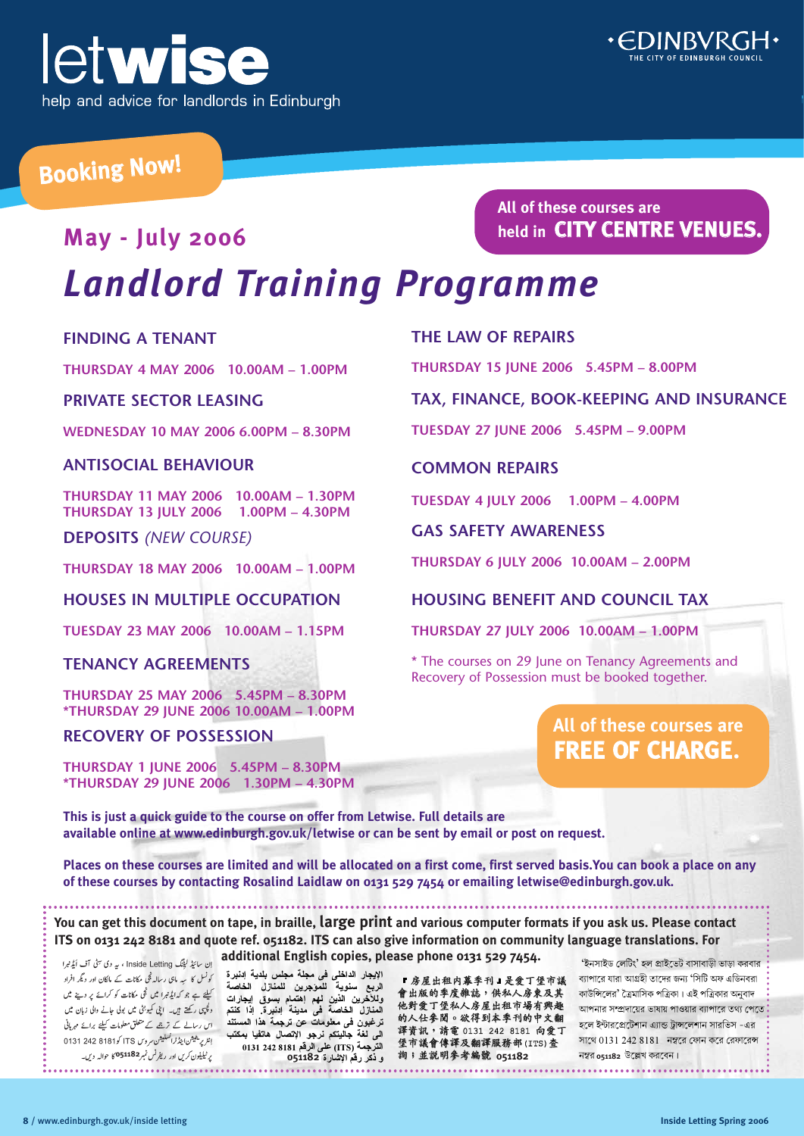



### Booking Now!

### **May - July 2006** *Landlord Training Programme*

### **FINDING A TENANT**

**THURSDAY 4 MAY 2006 10.00AM – 1.00PM**

### **PRIVATE SECTOR LEASING**

**WEDNESDAY 10 MAY 2006 6.00PM – 8.30PM**

### **ANTISOCIAL BEHAVIOUR**

**THURSDAY 11 MAY 2006 10.00AM – 1.30PM THURSDAY 13 JULY 2006 1.00PM – 4.30PM**

**DEPOSITS** *(NEW COURSE)*

**THURSDAY 18 MAY 2006 10.00AM – 1.00PM**

### **HOUSES IN MULTIPLE OCCUPATION**

**TUESDAY 23 MAY 2006 10.00AM – 1.15PM**

### **TENANCY AGREEMENTS**

**THURSDAY 25 MAY 2006 5.45PM – 8.30PM \*THURSDAY 29 JUNE 2006 10.00AM – 1.00PM**

### **RECOVERY OF POSSESSION**

**THURSDAY 1 JUNE 2006 5.45PM – 8.30PM \*THURSDAY 29 JUNE 2006 1.30PM – 4.30PM**

**All of these courses are held in CITY CENTRE VENUES.**

### **THE LAW OF REPAIRS**

**THURSDAY 15 JUNE 2006 5.45PM – 8.00PM**

### **TAX, FINANCE, BOOK-KEEPING AND INSURANCE**

**TUESDAY 27 JUNE 2006 5.45PM – 9.00PM**

### **COMMON REPAIRS**

**TUESDAY 4 JULY 2006 1.00PM – 4.00PM**

### **GAS SAFETY AWARENESS**

**THURSDAY 6 JULY 2006 10.00AM – 2.00PM**

### **HOUSING BENEFIT AND COUNCIL TAX**

**THURSDAY 27 JULY 2006 10.00AM – 1.00PM** 

ɖቩڎEMج൏ڛɗᕼᆔΪଂ༱㆗ᘍڎẁ↫൏ྱ㪅ヨ䐶ӓ␇Хቩᙝ

\* The courses on 29 June on Tenancy Agreements and Recovery of Possession must be booked together.

Ref: 04436

### **All of these courses are FREE OF CHARGE.**

*This is just a quick guide to the course on offer from Letwise. Full details are* **available online at www.edinburgh.gov.uk/letwise or can be sent by email or post on request.** 

**ΔλΎΨϟ ϝίΎϨϤϠϟ ϦϳήΟΆϤϠϟ ΔϳϮϨγ ϊΑήϟ ΓήΒϧΩ· ΔϳΪϠΑ βϠΠϣ ΔϠΠϣ ϰϓ ϰϠΧΪϟ έΎΠϳϹ**

.<br>Places on these courses are limited and will be allocated on a first come, first served basis.You can book a place on any **I** takes on these courses are timited and that be altocated on a mot come; mot served basisfied can book the starting Rosalind Laidlaw on 0131 529 7454 or emailing letwise@edinburgh.gov.uk. **.**864110 **1344 1244110 1444110 1444110** 154512 81  $\blacksquare$ 

You can get this document on tape, in braille,  $\sf{large}$  print and various computer formats if vou ask us. Please contact  $\ddot{\hspace{1.5cm}}$ ισα can get ans accument on tape, in stante, targe *print* and various compater formats in you usit user translations. For<br>ITS on 0131 242 8181 and αuote ref. 051182. ITS can also give information on community language t **additional English copies, please phone 0131 529 7454.**  ve information on community language translation

کونسل کا ہہ ماہی رسالہ ٹچی مکانات کے مالکان اور دیگر افراد إنثرير يثبيثن ابين<sup>ا</sup> ثر <sup>ثم ال</sup>سلبيثن سروس ITS كو8181 242 0131

الإيجار الداخل*ى* ف*ى* مجلة مجلس بلدية اِدنبرة الربع سنوية لل*م*وجرين للمنازل الخاصة دب <del>سمود **مسوجریں سمدرں انحاصہ**<br>وللاخرین الذین لیمم اہتمام بسوقی ایجازات کیلئے *پے بم کہایڈنرا میں ٹی مکانات کو کراۓ پر دی*ۓ میں<br>ایسندر سیندر سینما</del> ق المسلمان المصابعة المسلم المسلمان المسلمان المسلمان المسلمان المسلمان المسلمان المسلمان المسلمان ال<br>المعنازل المخاصة فهي معدينة الدنيرة. إذا كنتم ر<sup>ي</sup>جي *ركتة بين- ابني كيونئي بين بول جانے وال زبان بين* ق**رغبون فی مطومات عن ترجمة هذا المستند** اس *رسالے کے زہمے کے متع*لق معلومات *کیلئے برائے م*ربانی الَّى لَغَةَ جاليتَكم نرجو الإتصال هاتفيا بمكتب **0131 242 8181 Ϣϗήϟ ϰϠϋ (ITS) ΔϤΟήΘϟ** المسترجية की ग्रे **گَلُّهُ قَالَ 11822 os**1182 Taxa و ذكر رقم الإشارة 251182 . مَا تَابِيَّةِ وَاكْرَ لِهَ الإس

『房屋出租内幕季刊』是愛丁堡市議 會出版的季度雜誌,供私人房東及其 他對愛丁堡私人房屋出租市場有興趣 的人仕参阅。欲得到本季刊的中文翻 譯資訊,請電 0131 242 8181 向爱丁 堡市議會傳譯及翻譯服務部(ITS)查 詢;並說明參考編號 051182

'ইনসাইড লেটিং' হল প্ৰাইভেট বাসাবাডী ভাডা করবার ব্যাপারে যারা আগ্রহী তাদের জন্য 'সিটি অফ এডিনবরা কাউন্সিলের' ত্রৈমাসিক পত্রিকা। এই পত্রিকার অনুবাদ আপনার সম্প্রদায়ের ভাষায় পাওয়ার ব্যাপারে তথ্য পেতে হলে ইন্টারপ্রেটেশান এ্যান্ড ট্রান্সলেশান সারভিস -এর সাথে  $0131$   $242$   $8181$  নম্বরে ফোন করে রেফারেন্স

6ǽW.XN^QP' ƌTNWXT6ǽ JXT6ǽƍ k 2, JXT6ǽWP \*NLWG +JIWP TƆGW^fP MǺWSWf JW4fWP LĨJW^P EǻF³ ĊJ^Eǻ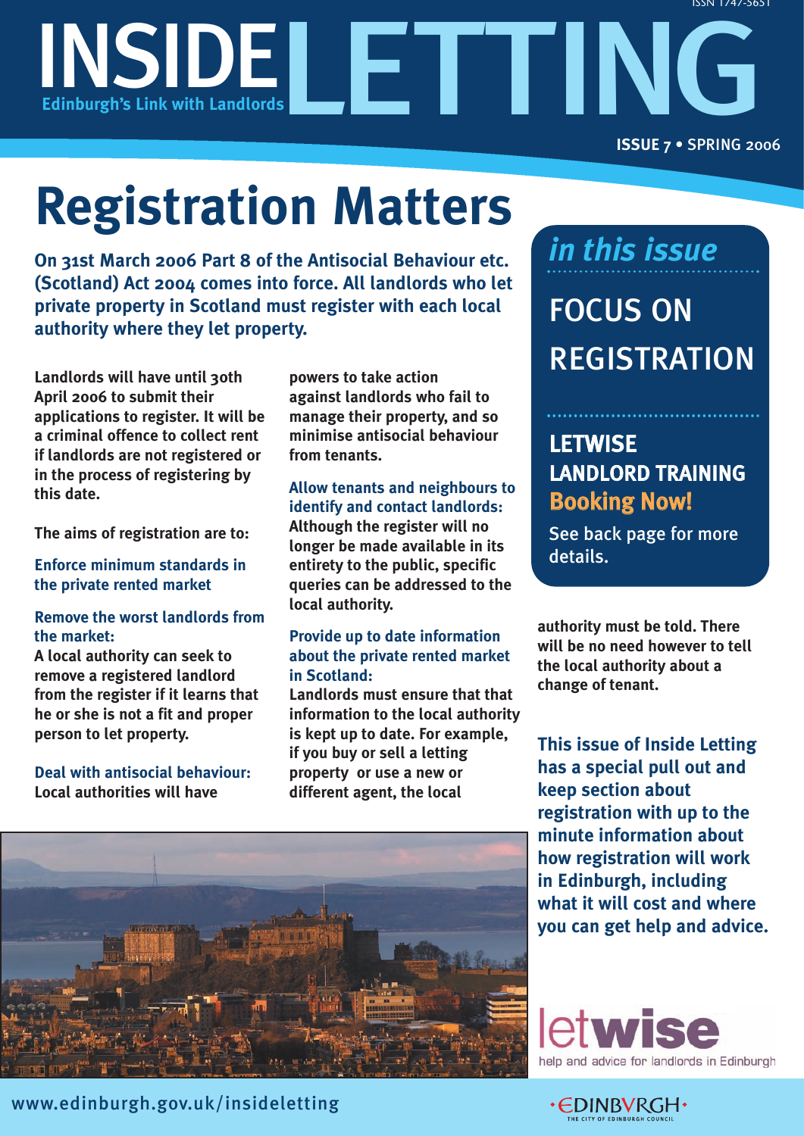

# **Registration Matters**

**On 31st March 2006 Part 8 of the Antisocial Behaviour etc. (Scotland) Act 2004 comes into force. All landlords who let private property in Scotland must register with each local authority where they let property.**

**Landlords will have until 30th April 2006 to submit their applications to register. It will be a criminal offence to collect rent if landlords are not registered or in the process of registering by this date.** 

**The aims of registration are to:** 

### **Enforce minimum standards in the private rented market**

### **Remove the worst landlords from the market:**

**A local authority can seek to remove a registered landlord from the register if it learns that he or she is not a fit and proper person to let property.**

**Deal with antisocial behaviour: Local authorities will have** 

**powers to take action against landlords who fail to manage their property, and so minimise antisocial behaviour from tenants.**

### **Allow tenants and neighbours to identify and contact landlords:**

**Although the register will no longer be made available in its entirety to the public, specific queries can be addressed to the local authority.**

### **Provide up to date information about the private rented market in Scotland:**

**Landlords must ensure that that information to the local authority is kept up to date. For example, if you buy or sell a letting property or use a new or different agent, the local**

### *in this issue*

FOCUS ON REGISTRATION

### **LETWISE** LANDLORD TRAINING Booking Now!

See back page for more details.

**authority must be told. There will be no need however to tell the local authority about a change of tenant.**

**This issue of Inside Letting has a special pull out and keep section about registration with up to the minute information about how registration will work in Edinburgh, including what it will cost and where you can get help and advice.**





www.edinburgh.gov.uk/insideletting

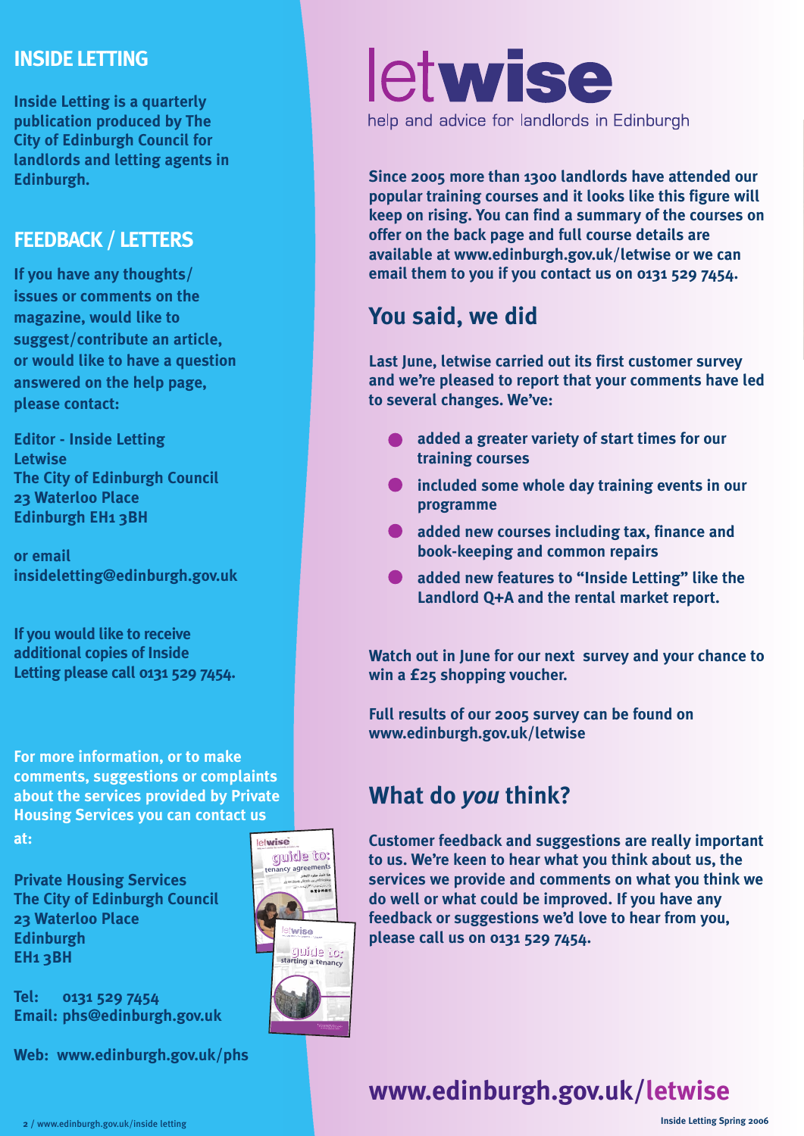### **INSIDE LETTING**

**Inside Letting is a quarterly publication produced by The City of Edinburgh Council for landlords and letting agents in Edinburgh.**

### **FEEDBACK / LETTERS**

**If you have any thoughts/ issues or comments on the magazine, would like to suggest/contribute an article, or would like to have a question answered on the help page, please contact:** 

**Editor - Inside Letting Letwise The City of Edinburgh Council 23 Waterloo Place Edinburgh EH1 3BH**

**or email insideletting@edinburgh.gov.uk**

**If you would like to receive additional copies of Inside Letting please call 0131 529 7454.**

**For more information, or to make comments, suggestions or complaints about the services provided by Private Housing Services you can contact us**

**at:**

**Private Housing Services The City of Edinburgh Council 23 Waterloo Place Edinburgh EH1 3BH**

**Tel: 0131 529 7454 Email: phs@edinburgh.gov.uk**

**Web: www.edinburgh.gov.uk/phs**





# letwise

help and advice for landlords in Edinburgh

**Since 2005 more than 1300 landlords have attended our popular training courses and it looks like this figure will keep on rising. You can find a summary of the courses on offer on the back page and full course details are available at www.edinburgh.gov.uk/letwise or we can email them to you if you contact us on 0131 529 7454.** 

### **You said, we did**

**Last June, letwise carried out its first customer survey and we're pleased to report that your comments have led to several changes. We've:** 

- **added a greater variety of start times for our training courses**
- $\bullet$  included some whole day training events in our **programme**
- $\bullet$  added new courses including tax, finance and **book-keeping and common repairs**
- **added new features to "Inside Letting" like the Landlord Q+A and the rental market report.**

**Watch out in June for our next survey and your chance to win a £25 shopping voucher.**

**Full results of our 2005 survey can be found on www.edinburgh.gov.uk/letwise**

### **What do** *you* **think?**

**Customer feedback and suggestions are really important to us. We're keen to hear what you think about us, the services we provide and comments on what you think we do well or what could be improved. If you have any feedback or suggestions we'd love to hear from you, please call us on 0131 529 7454.**

**www.edinburgh.gov.uk/letwise**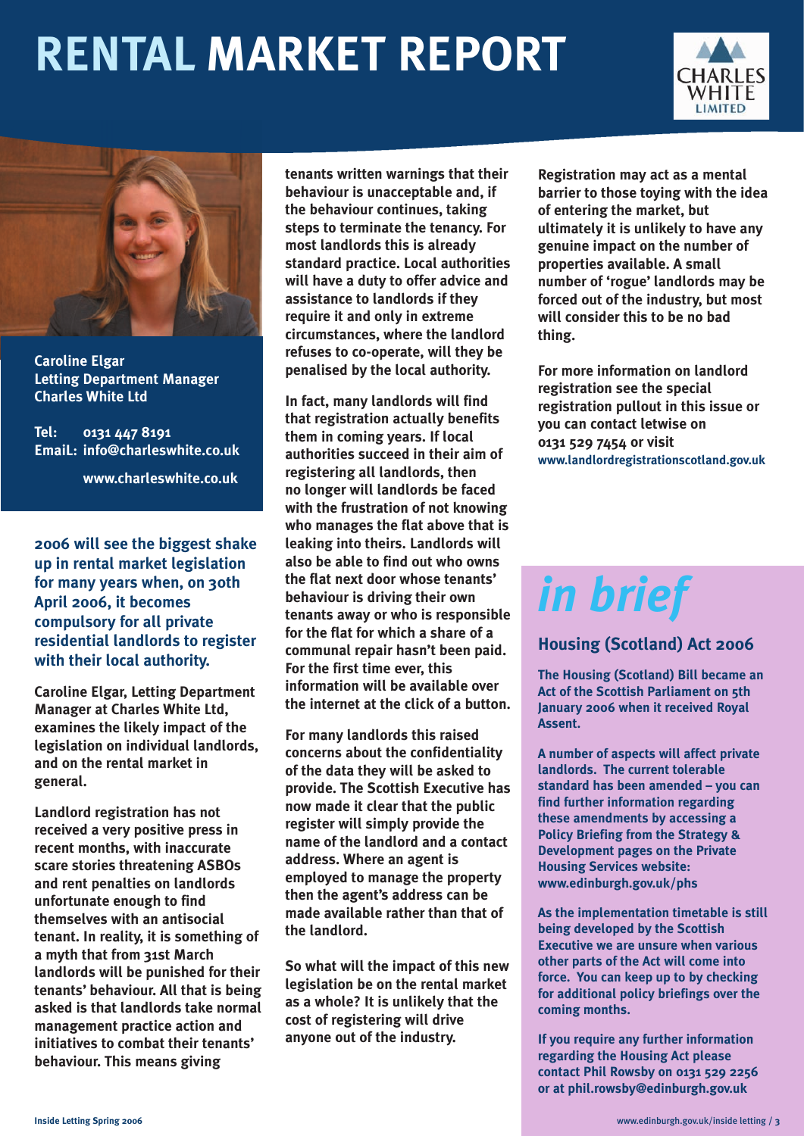# **RENTAL MARKET REPORT**





**Caroline Elgar Letting Department Manager Charles White Ltd**

**Tel: 0131 447 8191 EmaiL: info@charleswhite.co.uk**

**www.charleswhite.co.uk**

**2006 will see the biggest shake up in rental market legislation for many years when, on 30th April 2006, it becomes compulsory for all private residential landlords to register with their local authority.** 

**Caroline Elgar, Letting Department Manager at Charles White Ltd, examines the likely impact of the legislation on individual landlords, and on the rental market in general.**

**Landlord registration has not received a very positive press in recent months, with inaccurate scare stories threatening ASBOs and rent penalties on landlords unfortunate enough to find themselves with an antisocial tenant. In reality, it is something of a myth that from 31st March landlords will be punished for their tenants' behaviour. All that is being asked is that landlords take normal management practice action and initiatives to combat their tenants' behaviour. This means giving**

**tenants written warnings that their behaviour is unacceptable and, if the behaviour continues, taking steps to terminate the tenancy. For most landlords this is already standard practice. Local authorities will have a duty to offer advice and assistance to landlords if they require it and only in extreme circumstances, where the landlord refuses to co-operate, will they be penalised by the local authority.** 

**In fact, many landlords will find that registration actually benefits them in coming years. If local authorities succeed in their aim of registering all landlords, then no longer will landlords be faced with the frustration of not knowing who manages the flat above that is leaking into theirs. Landlords will also be able to find out who owns the flat next door whose tenants' behaviour is driving their own tenants away or who is responsible for the flat for which a share of a communal repair hasn't been paid. For the first time ever, this information will be available over the internet at the click of a button.** 

**For many landlords this raised concerns about the confidentiality of the data they will be asked to provide. The Scottish Executive has now made it clear that the public register will simply provide the name of the landlord and a contact address. Where an agent is employed to manage the property then the agent's address can be made available rather than that of the landlord.**

**So what will the impact of this new legislation be on the rental market as a whole? It is unlikely that the cost of registering will drive anyone out of the industry.** 

**Registration may act as a mental barrier to those toying with the idea of entering the market, but ultimately it is unlikely to have any genuine impact on the number of properties available. A small number of 'rogue' landlords may be forced out of the industry, but most will consider this to be no bad thing.**

**For more information on landlord registration see the special registration pullout in this issue or you can contact letwise on 0131 529 7454 or visit www.landlordregistrationscotland.gov.uk**

# *in brief*

### **Housing (Scotland) Act 2006**

**The Housing (Scotland) Bill became an Act of the Scottish Parliament on 5th January 2006 when it received Royal Assent.**

**A number of aspects will affect private landlords. The current tolerable standard has been amended – you can find further information regarding these amendments by accessing a Policy Briefing from the Strategy & Development pages on the Private Housing Services website: www.edinburgh.gov.uk/phs**

**As the implementation timetable is still being developed by the Scottish Executive we are unsure when various other parts of the Act will come into force. You can keep up to by checking for additional policy briefings over the coming months.** 

**If you require any further information regarding the Housing Act please contact Phil Rowsby on 0131 529 2256 or at phil.rowsby@edinburgh.gov.uk**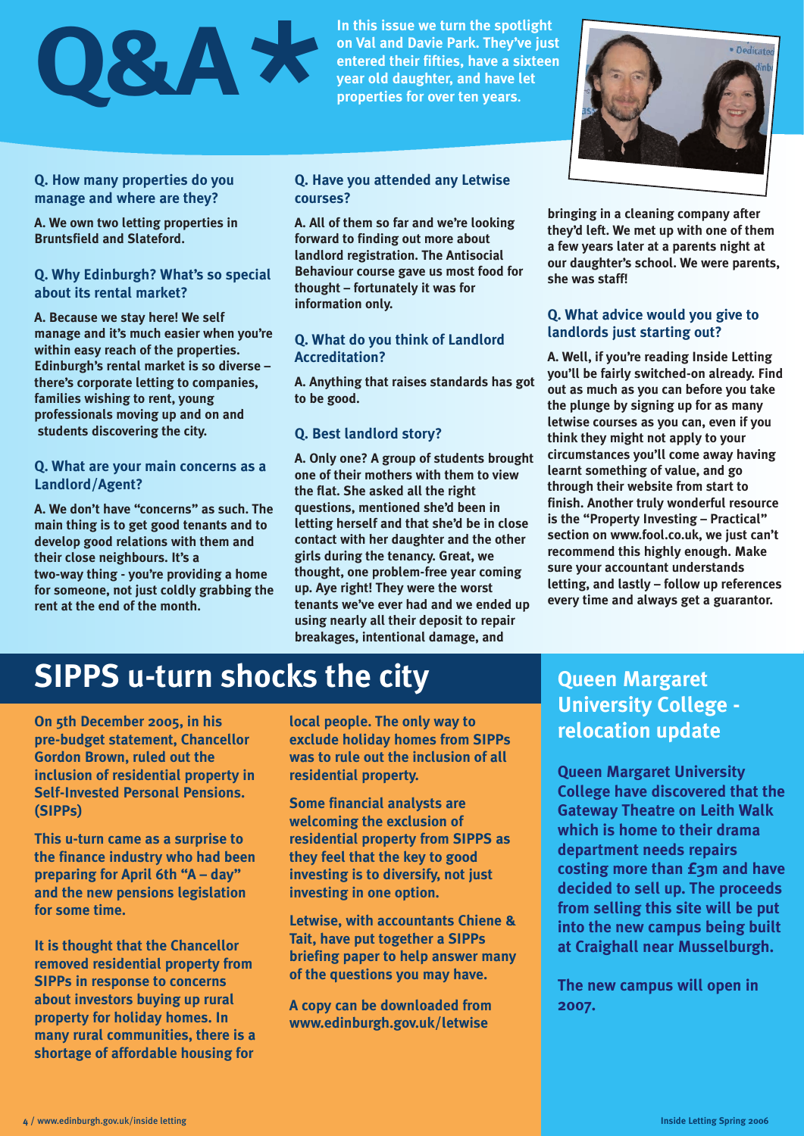# **Q&A\***

**Q. How many properties do you manage and where are they?**

**A. We own two letting properties in Bruntsfield and Slateford.**

### **Q. Why Edinburgh? What's so special about its rental market?**

**A. Because we stay here! We self manage and it's much easier when you're within easy reach of the properties. Edinburgh's rental market is so diverse – there's corporate letting to companies, families wishing to rent, young professionals moving up and on and students discovering the city.**

### **Q. What are your main concerns as a Landlord/Agent?**

**A. We don't have "concerns" as such. The main thing is to get good tenants and to develop good relations with them and their close neighbours. It's a two-way thing - you're providing a home for someone, not just coldly grabbing the rent at the end of the month.**

**In this issue we turn the spotlight on Val and Davie Park. They've just entered their fifties, have a sixteen year old daughter, and have let properties for over ten years.**

**Q. Have you attended any Letwise courses?**

**A. All of them so far and we're looking forward to finding out more about landlord registration. The Antisocial Behaviour course gave us most food for thought – fortunately it was for information only.**

**Q. What do you think of Landlord Accreditation?**

**A. Anything that raises standards has got to be good.**

### **Q. Best landlord story?**

**A. Only one? A group of students brought one of their mothers with them to view the flat. She asked all the right questions, mentioned she'd been in letting herself and that she'd be in close contact with her daughter and the other girls during the tenancy. Great, we thought, one problem-free year coming up. Aye right! They were the worst tenants we've ever had and we ended up using nearly all their deposit to repair breakages, intentional damage, and** 



**bringing in a cleaning company after they'd left. We met up with one of them a few years later at a parents night at our daughter's school. We were parents, she was staff!**

### **Q. What advice would you give to landlords just starting out?**

**A. Well, if you're reading Inside Letting you'll be fairly switched-on already. Find out as much as you can before you take the plunge by signing up for as many letwise courses as you can, even if you think they might not apply to your circumstances you'll come away having learnt something of value, and go through their website from start to finish. Another truly wonderful resource is the "Property Investing – Practical" section on www.fool.co.uk, we just can't recommend this highly enough. Make sure your accountant understands letting, and lastly – follow up references every time and always get a guarantor.** 

### **SIPPS u-turn shocks the city**

**On 5th December 2005, in his pre-budget statement, Chancellor Gordon Brown, ruled out the inclusion of residential property in Self-Invested Personal Pensions. (SIPPs)**

**This u-turn came as a surprise to the finance industry who had been preparing for April 6th "A – day" and the new pensions legislation for some time.** 

**It is thought that the Chancellor removed residential property from SIPPs in response to concerns about investors buying up rural property for holiday homes. In many rural communities, there is a shortage of affordable housing for**

**local people. The only way to exclude holiday homes from SIPPs was to rule out the inclusion of all residential property.**

**Some financial analysts are welcoming the exclusion of residential property from SIPPS as they feel that the key to good investing is to diversify, not just investing in one option.**

**Letwise, with accountants Chiene & Tait, have put together a SIPPs briefing paper to help answer many of the questions you may have.**

**A copy can be downloaded from www.edinburgh.gov.uk/letwise**

### **Queen Margaret University College relocation update**

**Queen Margaret University College have discovered that the Gateway Theatre on Leith Walk which is home to their drama department needs repairs costing more than £3m and have decided to sell up. The proceeds from selling this site will be put into the new campus being built at Craighall near Musselburgh.** 

**The new campus will open in 2007.**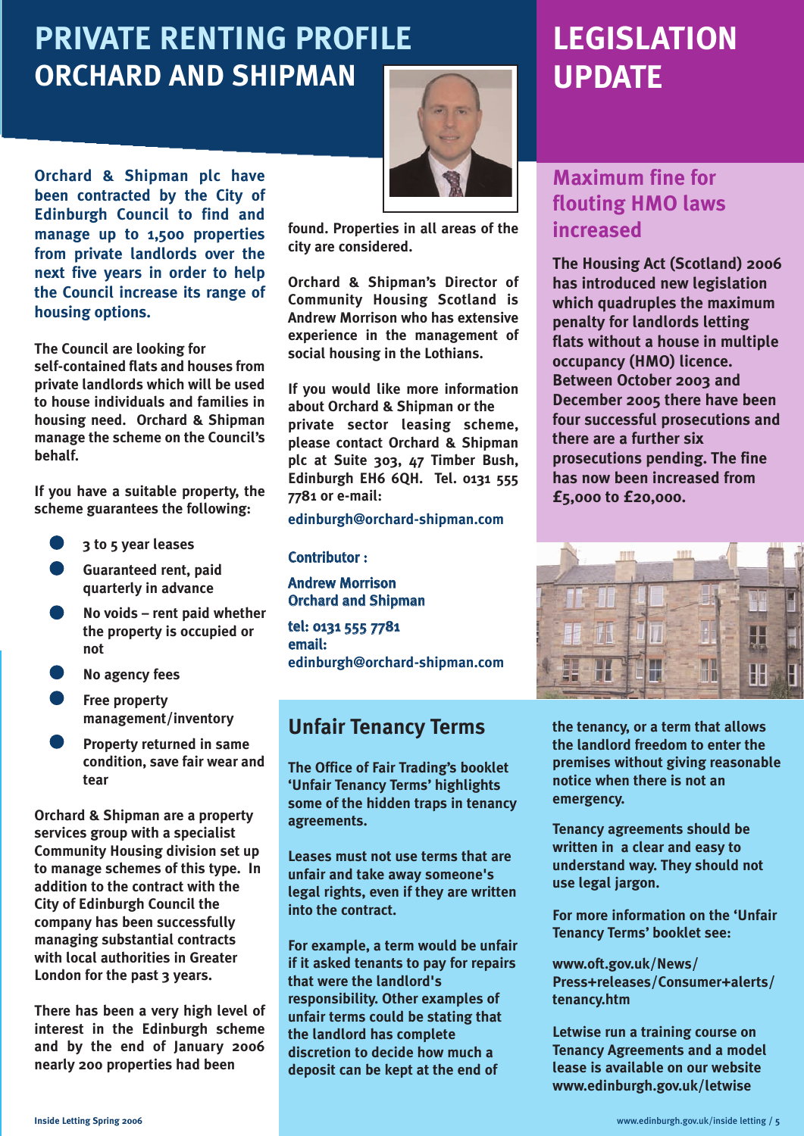### **PRIVATE RENTING PROFILE ORCHARD AND SHIPMAN**

**Orchard & Shipman plc have been contracted by the City of Edinburgh Council to find and manage up to 1,500 properties from private landlords over the next five years in order to help the Council increase its range of housing options.**

**The Council are looking for self-contained flats and houses from private landlords which will be used to house individuals and families in housing need. Orchard & Shipman manage the scheme on the Council's behalf.**

**If you have a suitable property, the scheme guarantees the following:**

- **3 to 5 year leases**
- **Guaranteed rent, paid quarterly in advance**
- **No voids rent paid whether the property is occupied or not**
- **No agency fees**
- **Free property management/inventory**
- **Property returned in same condition, save fair wear and tear**

**Orchard & Shipman are a property services group with a specialist Community Housing division set up to manage schemes of this type. In addition to the contract with the City of Edinburgh Council the company has been successfully managing substantial contracts with local authorities in Greater London for the past 3 years.**

**There has been a very high level of interest in the Edinburgh scheme and by the end of January 2006 nearly 200 properties had been** 



**found. Properties in all areas of the city are considered.** 

**Orchard & Shipman's Director of Community Housing Scotland is Andrew Morrison who has extensive experience in the management of social housing in the Lothians.**

**If you would like more information about Orchard & Shipman or the private sector leasing scheme, please contact Orchard & Shipman plc at Suite 303, 47 Timber Bush, Edinburgh EH6 6QH. Tel. 0131 555 7781 or e-mail:** 

**edinburgh@orchard-shipman.com**

### Contributor :

Andrew Morrison Orchard and Shipman

tel: 0131 555 7781 email: **edinburgh@orchard-shipman.com**

### **Unfair Tenancy Terms**

**The Office of Fair Trading's booklet 'Unfair Tenancy Terms' highlights some of the hidden traps in tenancy agreements.**

**Leases must not use terms that are unfair and take away someone's legal rights, even if they are written into the contract.** 

**For example, a term would be unfair if it asked tenants to pay for repairs that were the landlord's responsibility. Other examples of unfair terms could be stating that the landlord has complete discretion to decide how much a deposit can be kept at the end of** 

### **LEGISLATION UPDATE**

### **Maximum fine for flouting HMO laws increased**

**The Housing Act (Scotland) 2006 has introduced new legislation which quadruples the maximum penalty for landlords letting flats without a house in multiple occupancy (HMO) licence. Between October 2003 and December 2005 there have been four successful prosecutions and there are a further six prosecutions pending. The fine has now been increased from £5,000 to £20,000.**



**the tenancy, or a term that allows the landlord freedom to enter the premises without giving reasonable notice when there is not an emergency.**

**Tenancy agreements should be written in a clear and easy to understand way. They should not use legal jargon.**

**For more information on the 'Unfair Tenancy Terms' booklet see:** 

**www.oft.gov.uk/News/ Press+releases/Consumer+alerts/ tenancy.htm**

**Letwise run a training course on Tenancy Agreements and a model lease is available on our website www.edinburgh.gov.uk/letwise**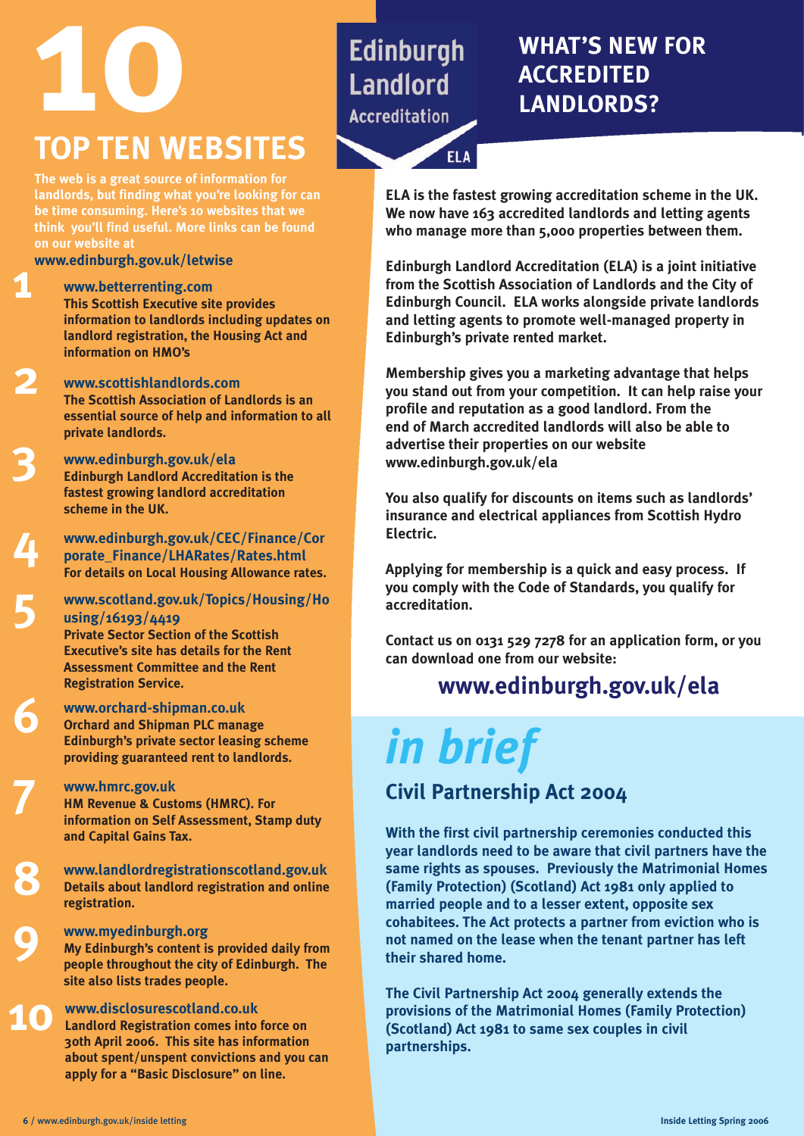# **10 WHAT'S NEW FOR TOP TEN WEBSITES**

**ELA** 

## **ACCREDITED LANDLORDS?**

**The web is a great source of information for landlords, but finding what you're looking for can be time consuming. Here's 10 websites that we think you'll find useful. More links can be found**

**www.edinburgh.gov.uk/letwise**

**1**

**2**

**3**

**4**

**5**

**6**

**7**

**8**

**9**

**www.betterrenting.com This Scottish Executive site provides information to landlords including updates on landlord registration, the Housing Act and information on HMO's**

**www.scottishlandlords.com The Scottish Association of Landlords is an essential source of help and information to all private landlords.**

**www.edinburgh.gov.uk/ela Edinburgh Landlord Accreditation is the fastest growing landlord accreditation scheme in the UK.** 

**www.edinburgh.gov.uk/CEC/Finance/Cor porate\_Finance/LHARates/Rates.html For details on Local Housing Allowance rates.** 

**www.scotland.gov.uk/Topics/Housing/Ho using/16193/4419 Private Sector Section of the Scottish Executive's site has details for the Rent Assessment Committee and the Rent** 

**www.orchard-shipman.co.uk Orchard and Shipman PLC manage Edinburgh's private sector leasing scheme providing guaranteed rent to landlords.**

### **www.hmrc.gov.uk**

**Registration Service.** 

**HM Revenue & Customs (HMRC). For information on Self Assessment, Stamp duty and Capital Gains Tax.**

**www.landlordregistrationscotland.gov.uk Details about landlord registration and online registration.**

### **www.myedinburgh.org**

**My Edinburgh's content is provided daily from people throughout the city of Edinburgh. The site also lists trades people.** 

**10 www.disclosurescotland.co.uk Landlord Registration comes into force on 30th April 2006. This site has information about spent/unspent convictions and you can apply for a "Basic Disclosure" on line.** 

**ELA is the fastest growing accreditation scheme in the UK. We now have 163 accredited landlords and letting agents who manage more than 5,000 properties between them.**

**Edinburgh Landlord Accreditation (ELA) is a joint initiative from the Scottish Association of Landlords and the City of Edinburgh Council. ELA works alongside private landlords and letting agents to promote well-managed property in Edinburgh's private rented market.**

**Membership gives you a marketing advantage that helps you stand out from your competition. It can help raise your profile and reputation as a good landlord. From the end of March accredited landlords will also be able to advertise their properties on our website www.edinburgh.gov.uk/ela**

**You also qualify for discounts on items such as landlords' insurance and electrical appliances from Scottish Hydro Electric.** 

**Applying for membership is a quick and easy process. If you comply with the Code of Standards, you qualify for accreditation.**

**Contact us on 0131 529 7278 for an application form, or you can download one from our website:** 

### **www.edinburgh.gov.uk/ela**

# *in brief*

### **Civil Partnership Act 2004**

**With the first civil partnership ceremonies conducted this year landlords need to be aware that civil partners have the same rights as spouses. Previously the Matrimonial Homes (Family Protection) (Scotland) Act 1981 only applied to married people and to a lesser extent, opposite sex cohabitees. The Act protects a partner from eviction who is not named on the lease when the tenant partner has left their shared home.**

**The Civil Partnership Act 2004 generally extends the provisions of the Matrimonial Homes (Family Protection) (Scotland) Act 1981 to same sex couples in civil partnerships.**